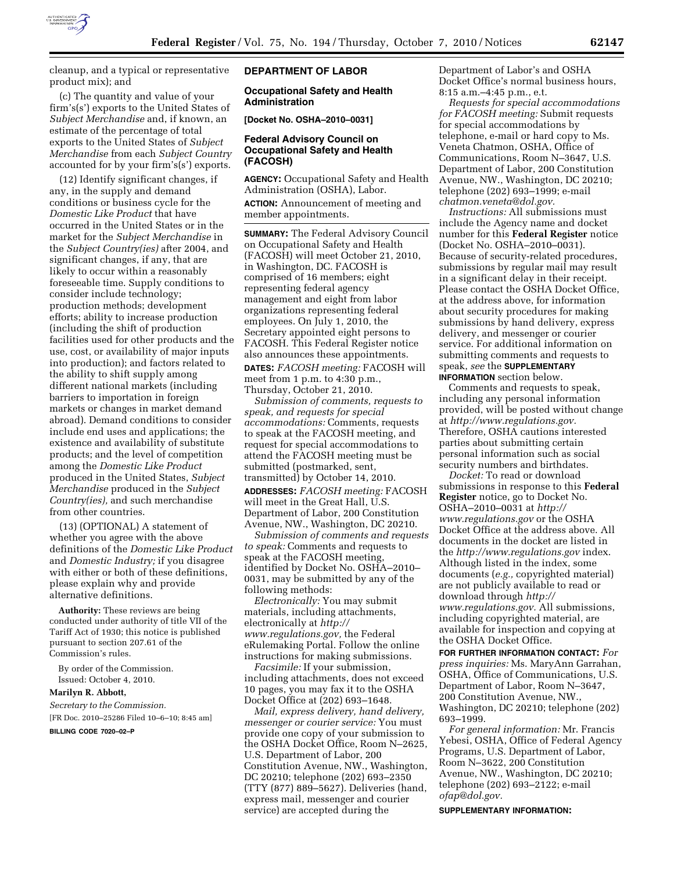

cleanup, and a typical or representative product mix); and

(c) The quantity and value of your firm's(s') exports to the United States of *Subject Merchandise* and, if known, an estimate of the percentage of total exports to the United States of *Subject Merchandise* from each *Subject Country*  accounted for by your firm's(s') exports.

(12) Identify significant changes, if any, in the supply and demand conditions or business cycle for the *Domestic Like Product* that have occurred in the United States or in the market for the *Subject Merchandise* in the *Subject Country(ies)* after 2004, and significant changes, if any, that are likely to occur within a reasonably foreseeable time. Supply conditions to consider include technology; production methods; development efforts; ability to increase production (including the shift of production facilities used for other products and the use, cost, or availability of major inputs into production); and factors related to the ability to shift supply among different national markets (including barriers to importation in foreign markets or changes in market demand abroad). Demand conditions to consider include end uses and applications; the existence and availability of substitute products; and the level of competition among the *Domestic Like Product*  produced in the United States, *Subject Merchandise* produced in the *Subject Country(ies),* and such merchandise from other countries.

(13) (OPTIONAL) A statement of whether you agree with the above definitions of the *Domestic Like Product*  and *Domestic Industry;* if you disagree with either or both of these definitions, please explain why and provide alternative definitions.

**Authority:** These reviews are being conducted under authority of title VII of the Tariff Act of 1930; this notice is published pursuant to section 207.61 of the Commission's rules.

By order of the Commission. Issued: October 4, 2010.

#### **Marilyn R. Abbott,**

*Secretary to the Commission.*  [FR Doc. 2010–25286 Filed 10–6–10; 8:45 am]

**BILLING CODE 7020–02–P** 

### **DEPARTMENT OF LABOR**

# **Occupational Safety and Health Administration**

**[Docket No. OSHA–2010–0031]** 

# **Federal Advisory Council on Occupational Safety and Health (FACOSH)**

**AGENCY:** Occupational Safety and Health Administration (OSHA), Labor.

**ACTION:** Announcement of meeting and member appointments.

**SUMMARY:** The Federal Advisory Council on Occupational Safety and Health (FACOSH) will meet October 21, 2010, in Washington, DC. FACOSH is comprised of 16 members; eight representing federal agency management and eight from labor organizations representing federal employees. On July 1, 2010, the Secretary appointed eight persons to FACOSH. This Federal Register notice also announces these appointments. **DATES:** *FACOSH meeting:* FACOSH will meet from 1 p.m. to 4:30 p.m., Thursday, October 21, 2010.

*Submission of comments, requests to speak, and requests for special accommodations:* Comments, requests to speak at the FACOSH meeting, and request for special accommodations to attend the FACOSH meeting must be submitted (postmarked, sent, transmitted) by October 14, 2010. **ADDRESSES:** *FACOSH meeting:* FACOSH will meet in the Great Hall, U.S. Department of Labor, 200 Constitution Avenue, NW., Washington, DC 20210.

*Submission of comments and requests to speak:* Comments and requests to speak at the FACOSH meeting, identified by Docket No. OSHA–2010– 0031, may be submitted by any of the following methods:

*Electronically:* You may submit materials, including attachments, electronically at *[http://](http://www.regulations.gov) [www.regulations.gov,](http://www.regulations.gov)* the Federal eRulemaking Portal. Follow the online instructions for making submissions.

*Facsimile:* If your submission, including attachments, does not exceed 10 pages, you may fax it to the OSHA Docket Office at (202) 693–1648.

*Mail, express delivery, hand delivery, messenger or courier service:* You must provide one copy of your submission to the OSHA Docket Office, Room N–2625, U.S. Department of Labor, 200 Constitution Avenue, NW., Washington, DC 20210; telephone (202) 693–2350 (TTY (877) 889–5627). Deliveries (hand, express mail, messenger and courier service) are accepted during the

Department of Labor's and OSHA Docket Office's normal business hours, 8:15 a.m.–4:45 p.m., e.t.

*Requests for special accommodations for FACOSH meeting:* Submit requests for special accommodations by telephone, e-mail or hard copy to Ms. Veneta Chatmon, OSHA, Office of Communications, Room N–3647, U.S. Department of Labor, 200 Constitution Avenue, NW., Washington, DC 20210; telephone (202) 693–1999; e-mail *[chatmon.veneta@dol.gov.](mailto:chatmon.veneta@dol.gov)* 

*Instructions:* All submissions must include the Agency name and docket number for this **Federal Register** notice (Docket No. OSHA–2010–0031). Because of security-related procedures, submissions by regular mail may result in a significant delay in their receipt. Please contact the OSHA Docket Office, at the address above, for information about security procedures for making submissions by hand delivery, express delivery, and messenger or courier service. For additional information on submitting comments and requests to speak, *see* the **SUPPLEMENTARY INFORMATION** section below.

Comments and requests to speak, including any personal information provided, will be posted without change at *[http://www.regulations.gov.](http://www.regulations.gov)*  Therefore, OSHA cautions interested parties about submitting certain personal information such as social security numbers and birthdates.

*Docket:* To read or download submissions in response to this **Federal Register** notice, go to Docket No. OSHA–2010–0031 at *[http://](http://www.regulations.gov) [www.regulations.gov](http://www.regulations.gov)* or the OSHA Docket Office at the address above. All documents in the docket are listed in the *<http://www.regulations.gov>*index. Although listed in the index, some documents (*e.g.,* copyrighted material) are not publicly available to read or download through *[http://](http://www.regulations.gov) [www.regulations.gov.](http://www.regulations.gov)* All submissions, including copyrighted material, are available for inspection and copying at the OSHA Docket Office.

**FOR FURTHER INFORMATION CONTACT:** *For press inquiries:* Ms. MaryAnn Garrahan, OSHA, Office of Communications, U.S. Department of Labor, Room N–3647, 200 Constitution Avenue, NW., Washington, DC 20210; telephone (202) 693–1999.

*For general information:* Mr. Francis Yebesi, OSHA, Office of Federal Agency Programs, U.S. Department of Labor, Room N–3622, 200 Constitution Avenue, NW., Washington, DC 20210; telephone (202) 693–2122; e-mail *[ofap@dol.gov.](mailto:ofap@dol.gov)* 

**SUPPLEMENTARY INFORMATION:**